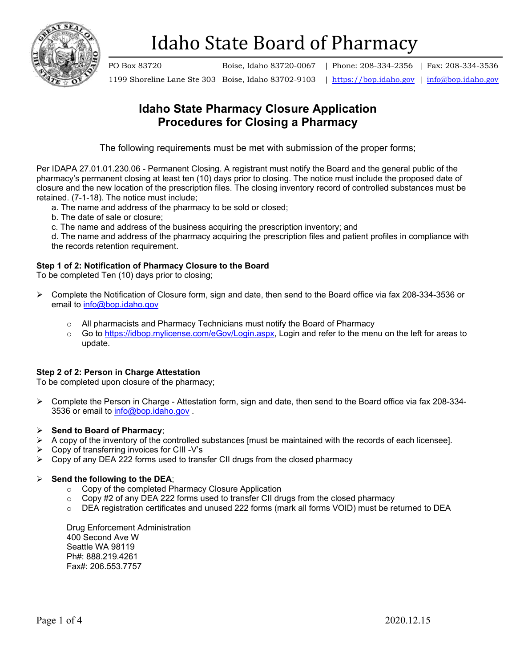

PO Box 83720 Boise, Idaho 83720-0067 | Phone: 208-334-2356 | Fax: 208-334-3536

1199 Shoreline Lane Ste 303 Boise, Idaho 83702-9103 | [https://bop.idaho.gov](https://bop.idaho.gov/) | [info@bop.idaho.gov](mailto:info@bop.idaho.gov)

## **Idaho State Pharmacy Closure Application Procedures for Closing a Pharmacy**

The following requirements must be met with submission of the proper forms;

Per IDAPA 27.01.01.230.06 - Permanent Closing. A registrant must notify the Board and the general public of the pharmacy's permanent closing at least ten (10) days prior to closing. The notice must include the proposed date of closure and the new location of the prescription files. The closing inventory record of controlled substances must be retained. (7-1-18). The notice must include;

- a. The name and address of the pharmacy to be sold or closed;
- b. The date of sale or closure;
- c. The name and address of the business acquiring the prescription inventory; and

d. The name and address of the pharmacy acquiring the prescription files and patient profiles in compliance with the records retention requirement.

### **Step 1 of 2: Notification of Pharmacy Closure to the Board**

To be completed Ten (10) days prior to closing;

- Complete the Notification of Closure form, sign and date, then send to the Board office via fax 208-334-3536 or email to [info@bop.idaho.gov](mailto:info@bop.idaho.gov)
	- $\circ$  All pharmacists and Pharmacy Technicians must notify the Board of Pharmacy<br> $\circ$  Go to https://idbop.mylicense.com/eGov/Login.aspx. Login and refer to the men
	- Go to [https://idbop.mylicense.com/eGov/Login.aspx,](https://idbop.mylicense.com/eGov/Login.aspx) Login and refer to the menu on the left for areas to update.

### **Step 2 of 2: Person in Charge Attestation**

To be completed upon closure of the pharmacy;

 $\triangleright$  Complete the Person in Charge - Attestation form, sign and date, then send to the Board office via fax 208-334-3536 or email to [info@bop.idaho.gov](mailto:info@bop.idaho.gov) .

### **Send to Board of Pharmacy**;

- $\triangleright$  A copy of the inventory of the controlled substances [must be maintained with the records of each licensee].
- $\triangleright$  Copy of transferring invoices for CIII -V's
- $\triangleright$  Copy of any DEA 222 forms used to transfer CII drugs from the closed pharmacy

### $\triangleright$  Send the following to the DEA;

- o Copy of the completed Pharmacy Closure Application
- $\circ$  Copy #2 of any DEA 222 forms used to transfer CII drugs from the closed pharmacy
- o DEA registration certificates and unused 222 forms (mark all forms VOID) must be returned to DEA

Drug Enforcement Administration 400 Second Ave W Seattle WA 98119 Ph#: 888.219.4261 Fax#: 206.553.7757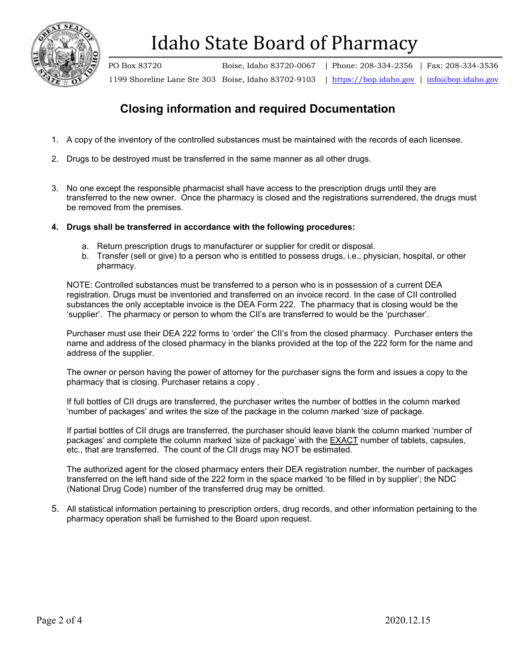

PO Box 83720 Boise, Idaho 83720-0067 | Phone: 208-334-2356 | Fax: 208-334-3536 1199 Shoreline Lane Ste 303 Boise, Idaho 83702-9103 | [https://bop.idaho.gov](https://bop.idaho.gov/) | [info@bop.idaho.gov](mailto:info@bop.idaho.gov)

## **Closing information and required Documentation**

- 1. A copy of the inventory of the controlled substances must be maintained with the records of each licensee.
- 2. Drugs to be destroyed must be transferred in the same manner as all other drugs.
- 3. No one except the responsible pharmacist shall have access to the prescription drugs until they are transferred to the new owner. Once the pharmacy is closed and the registrations surrendered, the drugs must be removed from the premises.
- **4. Drugs shall be transferred in accordance with the following procedures:**
	- a. Return prescription drugs to manufacturer or supplier for credit or disposal.
	- b. Transfer (sell or give) to a person who is entitled to possess drugs, i.e., physician, hospital, or other pharmacy.

NOTE: Controlled substances must be transferred to a person who is in possession of a current DEA registration. Drugs must be inventoried and transferred on an invoice record. In the case of CII controlled substances the only acceptable invoice is the DEA Form 222. The pharmacy that is closing would be the 'supplier'. The pharmacy or person to whom the CII's are transferred to would be the 'purchaser'.

Purchaser must use their DEA 222 forms to 'order' the CII's from the closed pharmacy. Purchaser enters the name and address of the closed pharmacy in the blanks provided at the top of the 222 form for the name and address of the supplier.

The owner or person having the power of attorney for the purchaser signs the form and issues a copy to the pharmacy that is closing. Purchaser retains a copy .

If full bottles of CII drugs are transferred, the purchaser writes the number of bottles in the column marked 'number of packages' and writes the size of the package in the column marked 'size of package.

If partial bottles of CII drugs are transferred, the purchaser should leave blank the column marked 'number of packages' and complete the column marked 'size of package' with the EXACT number of tablets, capsules, etc., that are transferred. The count of the CII drugs may NOT be estimated.

The authorized agent for the closed pharmacy enters their DEA registration number, the number of packages transferred on the left hand side of the 222 form in the space marked 'to be filled in by supplier'; the NDC (National Drug Code) number of the transferred drug may be omitted.

5. All statistical information pertaining to prescription orders, drug records, and other information pertaining to the pharmacy operation shall be furnished to the Board upon request.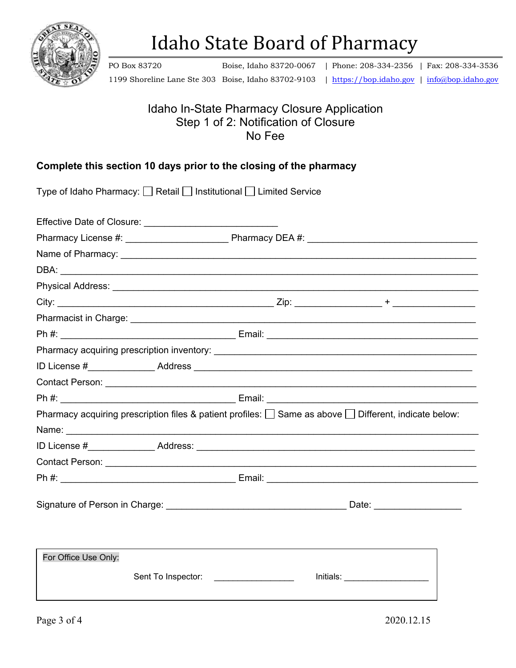

PO Box 83720 Boise, Idaho 83720-0067 | Phone: 208-334-2356 | Fax: 208-334-3536

1199 Shoreline Lane Ste 303 Boise, Idaho 83702-9103 | [https://bop.idaho.gov](https://bop.idaho.gov/) | [info@bop.idaho.gov](mailto:info@bop.idaho.gov)

Idaho In-State Pharmacy Closure Application Step 1 of 2: Notification of Closure

No Fee

## **Complete this section 10 days prior to the closing of the pharmacy**

|                      |                                      | Contact Person: National Contract Person: National Contract Person: National Contract Person: National Contract Person: National Contract Person: National Contract Person: National Contract Person: National Contract Person |  |  |  |
|----------------------|--------------------------------------|--------------------------------------------------------------------------------------------------------------------------------------------------------------------------------------------------------------------------------|--|--|--|
|                      |                                      |                                                                                                                                                                                                                                |  |  |  |
|                      |                                      | Pharmacy acquiring prescription files & patient profiles: $\Box$ Same as above $\Box$ Different, indicate below:                                                                                                               |  |  |  |
|                      |                                      |                                                                                                                                                                                                                                |  |  |  |
|                      |                                      |                                                                                                                                                                                                                                |  |  |  |
|                      |                                      |                                                                                                                                                                                                                                |  |  |  |
|                      |                                      |                                                                                                                                                                                                                                |  |  |  |
|                      |                                      |                                                                                                                                                                                                                                |  |  |  |
|                      |                                      |                                                                                                                                                                                                                                |  |  |  |
| For Office Use Only: |                                      |                                                                                                                                                                                                                                |  |  |  |
|                      | Sent To Inspector: _________________ | Initials:                                                                                                                                                                                                                      |  |  |  |